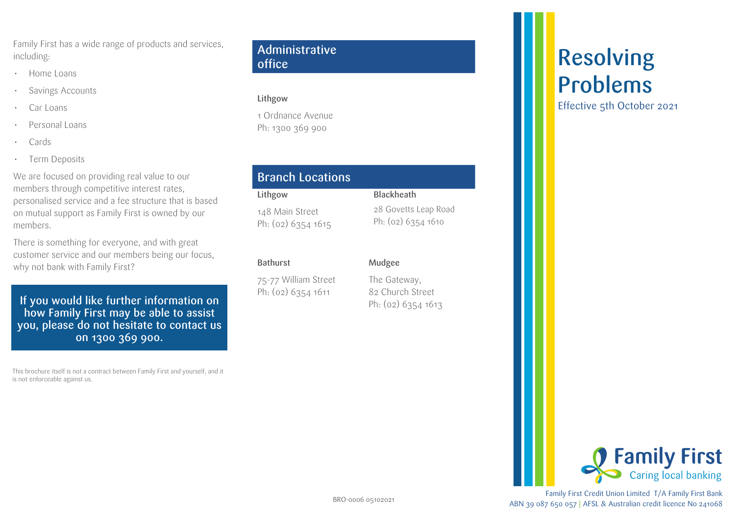Family First has a wide range of products and services, including:

- Home Loans
- Savings Accounts
- Car Loans
- Personal Loans
- Cards
- Term Deposits

We are focused on providing real value to our members through competitive interest rates, personalised service and a fee structure that is based on mutual support as Family First is owned by our members.

There is something for everyone, and with great customer service and our members being our focus, why not bank with Family First?

If you would like further information on  $\mathbb{P}_{h: (02) 6354}$  is the set of  $\mathbb{P}_{h: (02) 6354 1613}$ how Family First may be able to assist you, please do not hesitate to contact us on 1300 369 900.

This brochure itself is not a contract between Family First and yourself, and it is not enforceable against us.

#### Administrative office

#### Lithgow

1 Ordnance Avenue Ph: 1300 369 900

## Branch Locations

#### Lithgow 148 Main Street Ph: (02) 6354 1615

#### Bathurst

75-77 William Street Ph: (02) 6354 1611

Mudgee

Blackheath

28 Govetts Leap Road Ph: (02) 6354 1610

The Gateway, 82 Church Street

# Resolving Problems

Effective 5th October 2021



Family First Credit Union Limited T/A Family First Bank ABN 39 087 650 057 | AFSL & Australian credit licence No 241068